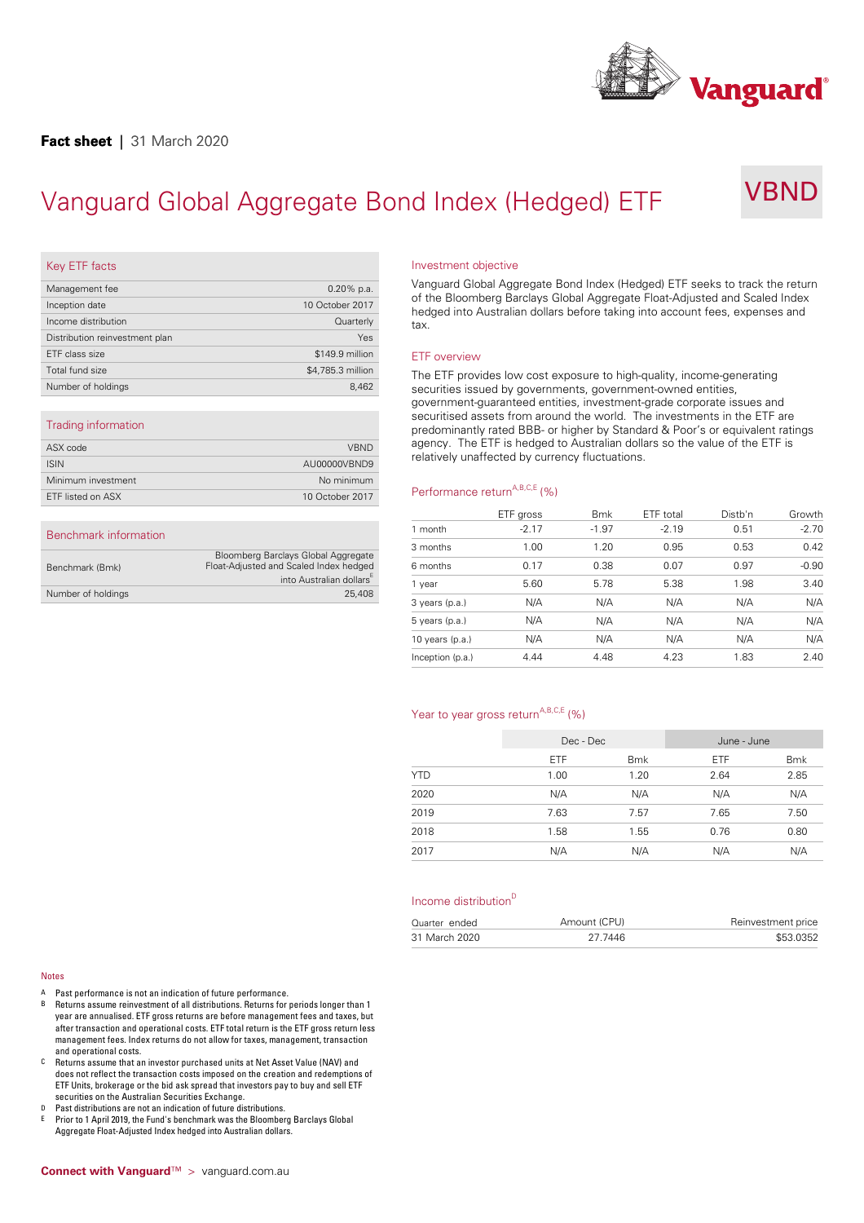# VBND

## Key ETF facts

**Fact sheet** | 31 March 2020

| Management fee                 | $0.20\%$ p.a.     |
|--------------------------------|-------------------|
| Inception date                 | 10 October 2017   |
| Income distribution            | Quarterly         |
| Distribution reinvestment plan | Yes               |
| ETF class size                 | \$149.9 million   |
| Total fund size                | \$4,785.3 million |
| Number of holdings             | 8,462             |
|                                |                   |

## Trading information

|                    |                 | __            |
|--------------------|-----------------|---------------|
| ASX code           | <b>VBND</b>     | ager<br>relat |
| <b>ISIN</b>        | AU00000VBND9    |               |
| Minimum investment | No minimum      |               |
| ETF listed on ASX  | 10 October 2017 | Perf          |
|                    |                 |               |

## Benchmark information

| Bloomberg Barclays Global Aggregate<br>Float-Adjusted and Scaled Index hedged<br>into Australian dollars |  |
|----------------------------------------------------------------------------------------------------------|--|
| 25,408                                                                                                   |  |
|                                                                                                          |  |

#### Investment objective

Vanguard Global Aggregate Bond Index (Hedged) ETF seeks to track the return of the Bloomberg Barclays Global Aggregate Float-Adjusted and Scaled Index hedged into Australian dollars before taking into account fees, expenses and tax.

#### ETF overview

The ETF provides low cost exposure to high-quality, income-generating securities issued by governments, government-owned entities, government-guaranteed entities, investment-grade corporate issues and securitised assets from around the world. The investments in the ETF are predominantly rated BBB- or higher by Standard & Poor's or equivalent ratings agency. The ETF is hedged to Australian dollars so the value of the ETF is relatively unaffected by currency fluctuations.

## Performance return<sup>A,B,C,E</sup> (%)

|                   | ETF gross | <b>Bmk</b> | ETF total | Distb'n | Growth  |
|-------------------|-----------|------------|-----------|---------|---------|
| 1 month           | $-2.17$   | $-1.97$    | $-2.19$   | 0.51    | $-2.70$ |
| 3 months          | 1.00      | 1.20       | 0.95      | 0.53    | 0.42    |
| 6 months          | 0.17      | 0.38       | 0.07      | 0.97    | $-0.90$ |
| 1 year            | 5.60      | 5.78       | 5.38      | 1.98    | 3.40    |
| 3 years (p.a.)    | N/A       | N/A        | N/A       | N/A     | N/A     |
| $5$ years (p.a.)  | N/A       | N/A        | N/A       | N/A     | N/A     |
| 10 years $(p.a.)$ | N/A       | N/A        | N/A       | N/A     | N/A     |
| Inception (p.a.)  | 4.44      | 4.48       | 4.23      | 1.83    | 2.40    |

#### Year to year gross return<sup>A,B,C,E</sup> (%)

|            | Dec - Dec |            | June - June |            |
|------------|-----------|------------|-------------|------------|
|            | ETF       | <b>Bmk</b> | ETF         | <b>Bmk</b> |
| <b>YTD</b> | 1.00      | 1.20       | 2.64        | 2.85       |
| 2020       | N/A       | N/A        | N/A         | N/A        |
| 2019       | 7.63      | 7.57       | 7.65        | 7.50       |
| 2018       | 1.58      | 1.55       | 0.76        | 0.80       |
| 2017       | N/A       | N/A        | N/A         | N/A        |
|            |           |            |             |            |

#### Income distribution D<sub>ram</sub>

| Quarter ended | Amount (CPU) | Reinvestment price |
|---------------|--------------|--------------------|
| 31 March 2020 | 27 7446      | \$53.0352          |

#### Notes

- A Past performance is not an indication of future performance.
- B Returns assume reinvestment of all distributions. Returns for periods longer than 1 year are annualised. ETF gross returns are before management fees and taxes, but after transaction and operational costs. ETF total return is the ETF gross return less management fees. Index returns do not allow for taxes, management, transaction and operational costs.
- C Returns assume that an investor purchased units at Net Asset Value (NAV) and does not reflect the transaction costs imposed on the creation and redemptions of ETF Units, brokerage orthe bid ask spread that investors pay to buy and sell ETF securities on the Australian Securities Exchange.
- D Past distributions are not an indication of future distributions.
- E Prior to 1 April 2019, the Fund's benchmark was the Bloomberg Barclays Global Aggregate Float-Adjusted Index hedged into Australian dollars.